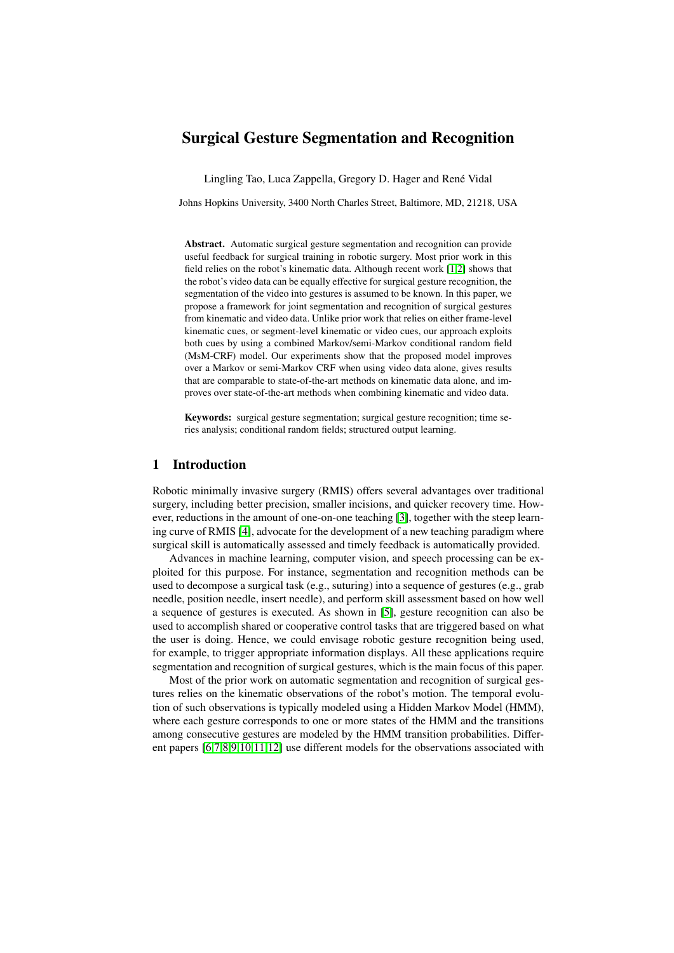# Surgical Gesture Segmentation and Recognition

Lingling Tao, Luca Zappella, Gregory D. Hager and René Vidal

Johns Hopkins University, 3400 North Charles Street, Baltimore, MD, 21218, USA

Abstract. Automatic surgical gesture segmentation and recognition can provide useful feedback for surgical training in robotic surgery. Most prior work in this field relies on the robot's kinematic data. Although recent work [\[1](#page-6-0)[,2\]](#page-6-1) shows that the robot's video data can be equally effective for surgical gesture recognition, the segmentation of the video into gestures is assumed to be known. In this paper, we propose a framework for joint segmentation and recognition of surgical gestures from kinematic and video data. Unlike prior work that relies on either frame-level kinematic cues, or segment-level kinematic or video cues, our approach exploits both cues by using a combined Markov/semi-Markov conditional random field (MsM-CRF) model. Our experiments show that the proposed model improves over a Markov or semi-Markov CRF when using video data alone, gives results that are comparable to state-of-the-art methods on kinematic data alone, and improves over state-of-the-art methods when combining kinematic and video data.

Keywords: surgical gesture segmentation; surgical gesture recognition; time series analysis; conditional random fields; structured output learning.

# 1 Introduction

Robotic minimally invasive surgery (RMIS) offers several advantages over traditional surgery, including better precision, smaller incisions, and quicker recovery time. However, reductions in the amount of one-on-one teaching [\[3\]](#page-6-2), together with the steep learning curve of RMIS [\[4\]](#page-6-3), advocate for the development of a new teaching paradigm where surgical skill is automatically assessed and timely feedback is automatically provided.

Advances in machine learning, computer vision, and speech processing can be exploited for this purpose. For instance, segmentation and recognition methods can be used to decompose a surgical task (e.g., suturing) into a sequence of gestures (e.g., grab needle, position needle, insert needle), and perform skill assessment based on how well a sequence of gestures is executed. As shown in [\[5\]](#page-6-4), gesture recognition can also be used to accomplish shared or cooperative control tasks that are triggered based on what the user is doing. Hence, we could envisage robotic gesture recognition being used, for example, to trigger appropriate information displays. All these applications require segmentation and recognition of surgical gestures, which is the main focus of this paper.

Most of the prior work on automatic segmentation and recognition of surgical gestures relies on the kinematic observations of the robot's motion. The temporal evolution of such observations is typically modeled using a Hidden Markov Model (HMM), where each gesture corresponds to one or more states of the HMM and the transitions among consecutive gestures are modeled by the HMM transition probabilities. Different papers [\[6](#page-6-5)[,7,](#page-6-6)[8,](#page-7-0)[9,](#page-7-1)[10,](#page-7-2)[11,](#page-7-3)[12\]](#page-7-4) use different models for the observations associated with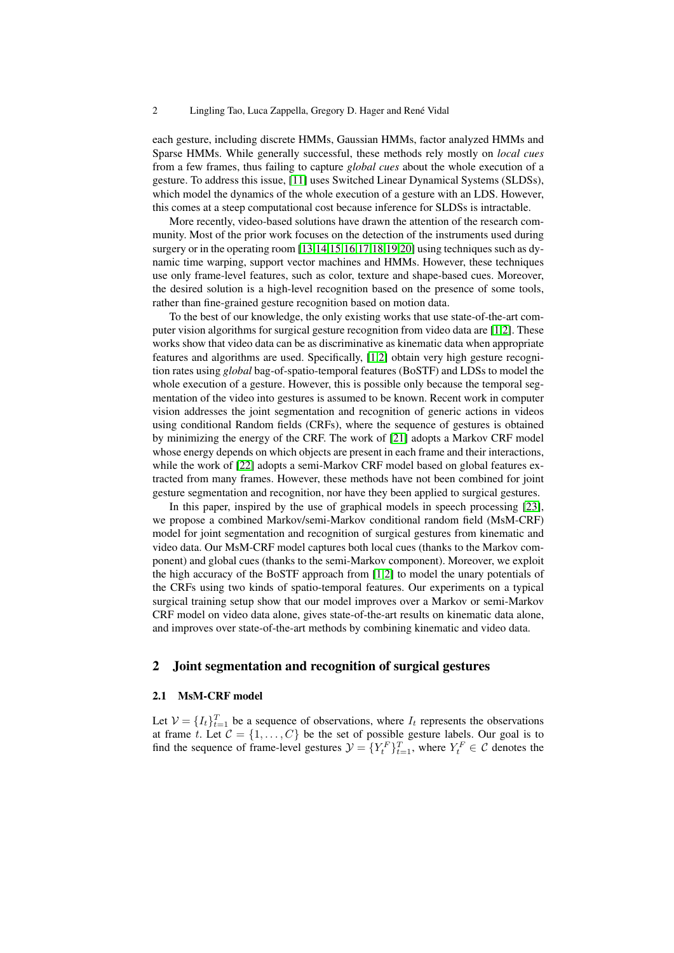2 Lingling Tao, Luca Zappella, Gregory D. Hager and René Vidal

each gesture, including discrete HMMs, Gaussian HMMs, factor analyzed HMMs and Sparse HMMs. While generally successful, these methods rely mostly on *local cues* from a few frames, thus failing to capture *global cues* about the whole execution of a gesture. To address this issue, [\[11\]](#page-7-3) uses Switched Linear Dynamical Systems (SLDSs), which model the dynamics of the whole execution of a gesture with an LDS. However, this comes at a steep computational cost because inference for SLDSs is intractable.

More recently, video-based solutions have drawn the attention of the research community. Most of the prior work focuses on the detection of the instruments used during surgery or in the operating room [\[13](#page-7-5)[,14](#page-7-6)[,15,](#page-7-7)[16,](#page-7-8)[17,](#page-7-9)[18,](#page-7-10)[19,](#page-7-11)[20\]](#page-7-12) using techniques such as dynamic time warping, support vector machines and HMMs. However, these techniques use only frame-level features, such as color, texture and shape-based cues. Moreover, the desired solution is a high-level recognition based on the presence of some tools, rather than fine-grained gesture recognition based on motion data.

To the best of our knowledge, the only existing works that use state-of-the-art computer vision algorithms for surgical gesture recognition from video data are [\[1](#page-6-0)[,2\]](#page-6-1). These works show that video data can be as discriminative as kinematic data when appropriate features and algorithms are used. Specifically, [\[1,](#page-6-0)[2\]](#page-6-1) obtain very high gesture recognition rates using *global* bag-of-spatio-temporal features (BoSTF) and LDSs to model the whole execution of a gesture. However, this is possible only because the temporal segmentation of the video into gestures is assumed to be known. Recent work in computer vision addresses the joint segmentation and recognition of generic actions in videos using conditional Random fields (CRFs), where the sequence of gestures is obtained by minimizing the energy of the CRF. The work of [\[21\]](#page-7-13) adopts a Markov CRF model whose energy depends on which objects are present in each frame and their interactions, while the work of [\[22\]](#page-7-14) adopts a semi-Markov CRF model based on global features extracted from many frames. However, these methods have not been combined for joint gesture segmentation and recognition, nor have they been applied to surgical gestures.

In this paper, inspired by the use of graphical models in speech processing [\[23\]](#page-7-15), we propose a combined Markov/semi-Markov conditional random field (MsM-CRF) model for joint segmentation and recognition of surgical gestures from kinematic and video data. Our MsM-CRF model captures both local cues (thanks to the Markov component) and global cues (thanks to the semi-Markov component). Moreover, we exploit the high accuracy of the BoSTF approach from [\[1](#page-6-0)[,2\]](#page-6-1) to model the unary potentials of the CRFs using two kinds of spatio-temporal features. Our experiments on a typical surgical training setup show that our model improves over a Markov or semi-Markov CRF model on video data alone, gives state-of-the-art results on kinematic data alone, and improves over state-of-the-art methods by combining kinematic and video data.

## 2 Joint segmentation and recognition of surgical gestures

#### 2.1 MsM-CRF model

Let  $V = \{I_t\}_{t=1}^T$  be a sequence of observations, where  $I_t$  represents the observations at frame t. Let  $C = \{1, \ldots, C\}$  be the set of possible gesture labels. Our goal is to find the sequence of frame-level gestures  $\mathcal{Y} = \{Y_t^F\}_{t=1}^T$ , where  $Y_t^F \in \mathcal{C}$  denotes the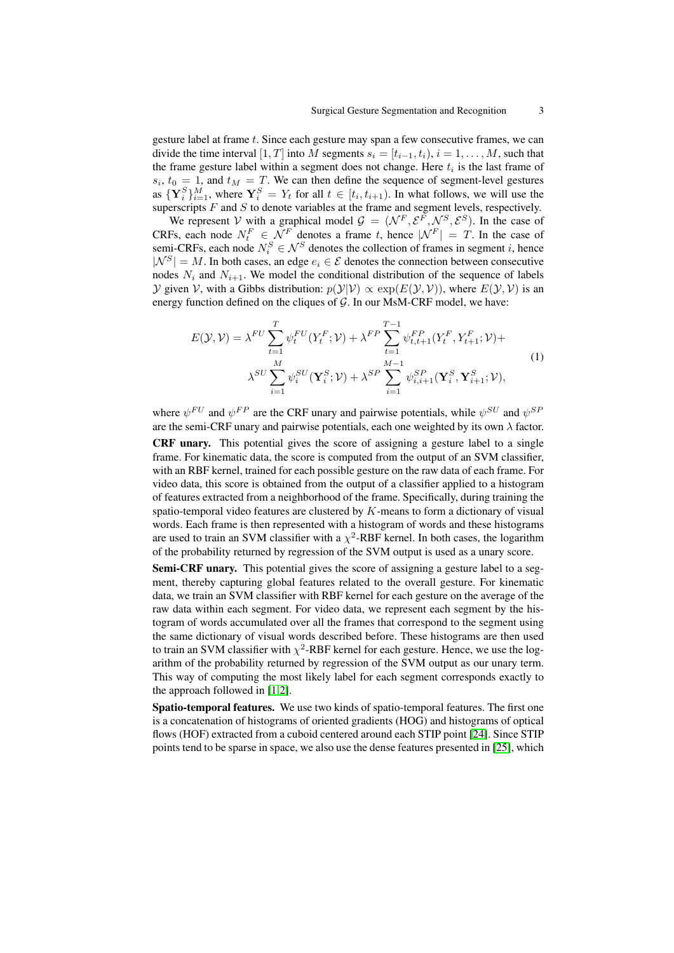gesture label at frame t. Since each gesture may span a few consecutive frames, we can divide the time interval [1, T] into M segments  $s_i = [t_{i-1}, t_i], i = 1, \ldots, M$ , such that the frame gesture label within a segment does not change. Here  $t_i$  is the last frame of  $s_i, t_0 = 1$ , and  $t_M = T$ . We can then define the sequence of segment-level gestures as  $\{Y_i^S\}_{i=1}^M$ , where  $Y_i^S = Y_t$  for all  $t \in [t_i, t_{i+1})$ . In what follows, we will use the superscripts  $F$  and  $S$  to denote variables at the frame and segment levels, respectively.

We represent V with a graphical model  $\mathcal{G} = (\mathcal{N}^F, \mathcal{E}^F, \mathcal{N}^S, \mathcal{E}^S)$ . In the case of CRFs, each node  $N_t^F \in \mathcal{N}^F$  denotes a frame t, hence  $|\mathcal{N}^F| = T$ . In the case of semi-CRFs, each node  $N_i^S \in \mathcal{N}^S$  denotes the collection of frames in segment *i*, hence  $|N^S| = M$ . In both cases, an edge  $e_i \in \mathcal{E}$  denotes the connection between consecutive nodes  $N_i$  and  $N_{i+1}$ . We model the conditional distribution of the sequence of labels  $\mathcal Y$  given  $\mathcal V$ , with a Gibbs distribution:  $p(\mathcal Y|\mathcal V) \propto \exp(E(\mathcal Y,\mathcal V))$ , where  $E(\mathcal Y,\mathcal V)$  is an energy function defined on the cliques of  $G$ . In our MsM-CRF model, we have:

<span id="page-2-0"></span>
$$
E(\mathcal{Y}, \mathcal{V}) = \lambda^{FU} \sum_{t=1}^{T} \psi_t^{FU}(Y_t^F; \mathcal{V}) + \lambda^{FP} \sum_{t=1}^{T-1} \psi_{t, t+1}^{FP}(Y_t^F, Y_{t+1}^F; \mathcal{V}) +
$$
  

$$
\lambda^{SU} \sum_{i=1}^{M} \psi_i^{SU}(\mathbf{Y}_i^S; \mathcal{V}) + \lambda^{SP} \sum_{i=1}^{M-1} \psi_{i, i+1}^{SP}(\mathbf{Y}_i^S, \mathbf{Y}_{i+1}^S; \mathcal{V}),
$$
  
(1)

where  $\psi^{FU}$  and  $\psi^{FP}$  are the CRF unary and pairwise potentials, while  $\psi^{SU}$  and  $\psi^{SF}$ are the semi-CRF unary and pairwise potentials, each one weighted by its own  $\lambda$  factor.

CRF unary. This potential gives the score of assigning a gesture label to a single frame. For kinematic data, the score is computed from the output of an SVM classifier, with an RBF kernel, trained for each possible gesture on the raw data of each frame. For video data, this score is obtained from the output of a classifier applied to a histogram of features extracted from a neighborhood of the frame. Specifically, during training the spatio-temporal video features are clustered by  $K$ -means to form a dictionary of visual words. Each frame is then represented with a histogram of words and these histograms are used to train an SVM classifier with a  $\chi^2$ -RBF kernel. In both cases, the logarithm of the probability returned by regression of the SVM output is used as a unary score.

Semi-CRF unary. This potential gives the score of assigning a gesture label to a segment, thereby capturing global features related to the overall gesture. For kinematic data, we train an SVM classifier with RBF kernel for each gesture on the average of the raw data within each segment. For video data, we represent each segment by the histogram of words accumulated over all the frames that correspond to the segment using the same dictionary of visual words described before. These histograms are then used to train an SVM classifier with  $\chi^2$ -RBF kernel for each gesture. Hence, we use the logarithm of the probability returned by regression of the SVM output as our unary term. This way of computing the most likely label for each segment corresponds exactly to the approach followed in [\[1,](#page-6-0)[2\]](#page-6-1).

Spatio-temporal features. We use two kinds of spatio-temporal features. The first one is a concatenation of histograms of oriented gradients (HOG) and histograms of optical flows (HOF) extracted from a cuboid centered around each STIP point [\[24\]](#page-7-16). Since STIP points tend to be sparse in space, we also use the dense features presented in [\[25\]](#page-7-17), which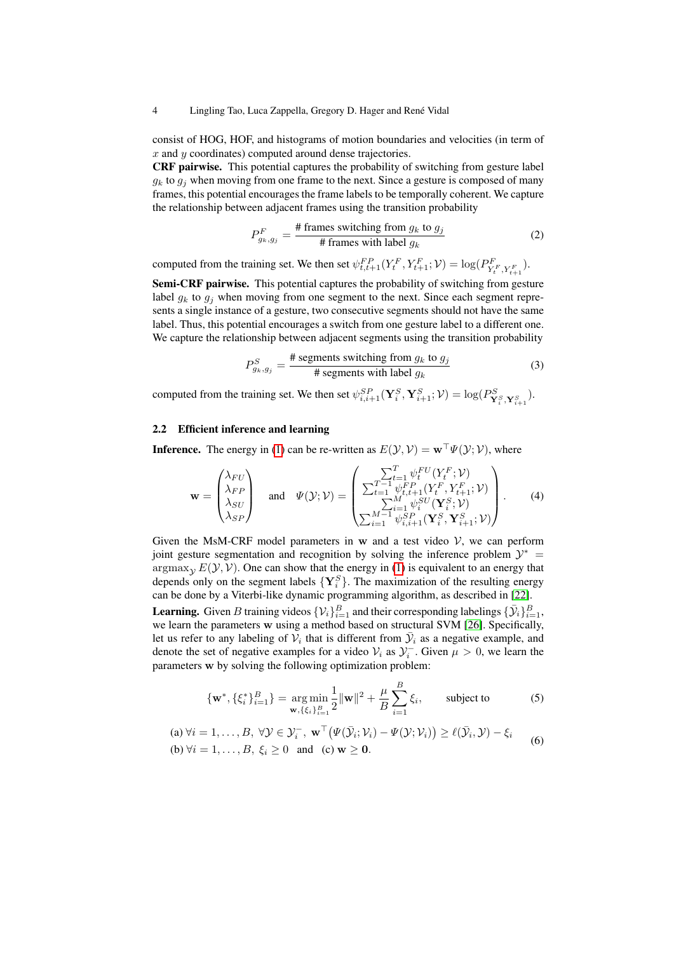#### 4 Lingling Tao, Luca Zappella, Gregory D. Hager and René Vidal

consist of HOG, HOF, and histograms of motion boundaries and velocities (in term of  $x$  and  $y$  coordinates) computed around dense trajectories.

CRF pairwise. This potential captures the probability of switching from gesture label  $g_k$  to  $g_i$  when moving from one frame to the next. Since a gesture is composed of many frames, this potential encourages the frame labels to be temporally coherent. We capture the relationship between adjacent frames using the transition probability

$$
P_{g_k, g_j}^F = \frac{\text{\# frames switching from } g_k \text{ to } g_j}{\text{\# frames with label } g_k}
$$
\n(2)

computed from the training set. We then set  $\psi_{t,t+1}^{FP}(Y_t^F, Y_{t+1}^F; \mathcal{V}) = \log(P_{Y_t^F, Y_{t+1}^F}^F)$ .

Semi-CRF pairwise. This potential captures the probability of switching from gesture label  $g_k$  to  $g_j$  when moving from one segment to the next. Since each segment represents a single instance of a gesture, two consecutive segments should not have the same label. Thus, this potential encourages a switch from one gesture label to a different one. We capture the relationship between adjacent segments using the transition probability

$$
P_{g_k, g_j}^S = \frac{\text{# segments switching from } g_k \text{ to } g_j}{\text{# segments with label } g_k}
$$
(3)

computed from the training set. We then set  $\psi_{i,i+1}^{SP}(\mathbf{Y}_i^S, \mathbf{Y}_{i+1}^S; \mathcal{V}) = \log(P_{\mathbf{Y}_i^S, \mathbf{Y}_{i+1}^S}^S)$ .

### 2.2 Efficient inference and learning

**Inference.** The energy in [\(1\)](#page-2-0) can be re-written as  $E(\mathcal{Y}, \mathcal{V}) = \mathbf{w}^\top \Psi(\mathcal{Y}; \mathcal{V})$ , where

$$
\mathbf{w} = \begin{pmatrix} \lambda_{FU} \\ \lambda_{FP} \\ \lambda_{SU} \\ \lambda_{SP} \end{pmatrix} \quad \text{and} \quad \Psi(\mathcal{Y}; \mathcal{V}) = \begin{pmatrix} \sum_{t=1}^{T} \psi_t^{FU}(Y_t^F; \mathcal{V}) \\ \sum_{t=1}^{T-1} \psi_{t,t+1}^{FP}(Y_t^F, Y_{t+1}^F; \mathcal{V}) \\ \sum_{i=1}^{M} \psi_i^{SU}(\mathbf{Y}_i^S; \mathcal{V}) \\ \sum_{i=1}^{M-1} \psi_{i,i+1}^{SP}(\mathbf{Y}_i^S, \mathbf{Y}_{i+1}^S; \mathcal{V}) \end{pmatrix} . \tag{4}
$$

Given the MsM-CRF model parameters in  $w$  and a test video  $V$ , we can perform joint gesture segmentation and recognition by solving the inference problem  $\mathcal{Y}^*$  =  $\argmax_{\gamma} E(\mathcal{Y}, \mathcal{V})$ . One can show that the energy in [\(1\)](#page-2-0) is equivalent to an energy that depends only on the segment labels  ${Y_i^S}$ . The maximization of the resulting energy can be done by a Viterbi-like dynamic programming algorithm, as described in [\[22\]](#page-7-14).

**Learning.** Given B training videos  $\{\mathcal{V}_i\}_{i=1}^B$  and their corresponding labelings  $\{\bar{\mathcal{Y}}_i\}_{i=1}^B$ , we learn the parameters w using a method based on structural SVM [\[26\]](#page-7-18). Specifically, let us refer to any labeling of  $\mathcal{V}_i$  that is different from  $\bar{\mathcal{Y}}_i$  as a negative example, and denote the set of negative examples for a video  $\mathcal{V}_i$  as  $\mathcal{Y}_i^-$ . Given  $\mu > 0$ , we learn the parameters w by solving the following optimization problem:

$$
\{\mathbf{w}^*, \{\xi_i^*\}_{i=1}^B\} = \underset{\mathbf{w}, \{\xi_i\}_{i=1}^B}{\arg \min} \frac{1}{2} ||\mathbf{w}||^2 + \frac{\mu}{B} \sum_{i=1}^B \xi_i, \quad \text{subject to} \tag{5}
$$

(a) 
$$
\forall i = 1, ..., B, \forall \mathcal{Y} \in \mathcal{Y}_i^-, \mathbf{w}^\top (\Psi(\bar{\mathcal{Y}}_i; \mathcal{V}_i) - \Psi(\mathcal{Y}; \mathcal{V}_i)) \ge \ell(\bar{\mathcal{Y}}_i, \mathcal{Y}) - \xi_i
$$
  
\n(b)  $\forall i = 1, ..., B, \xi_i \ge 0$  and (c)  $\mathbf{w} \ge \mathbf{0}$ .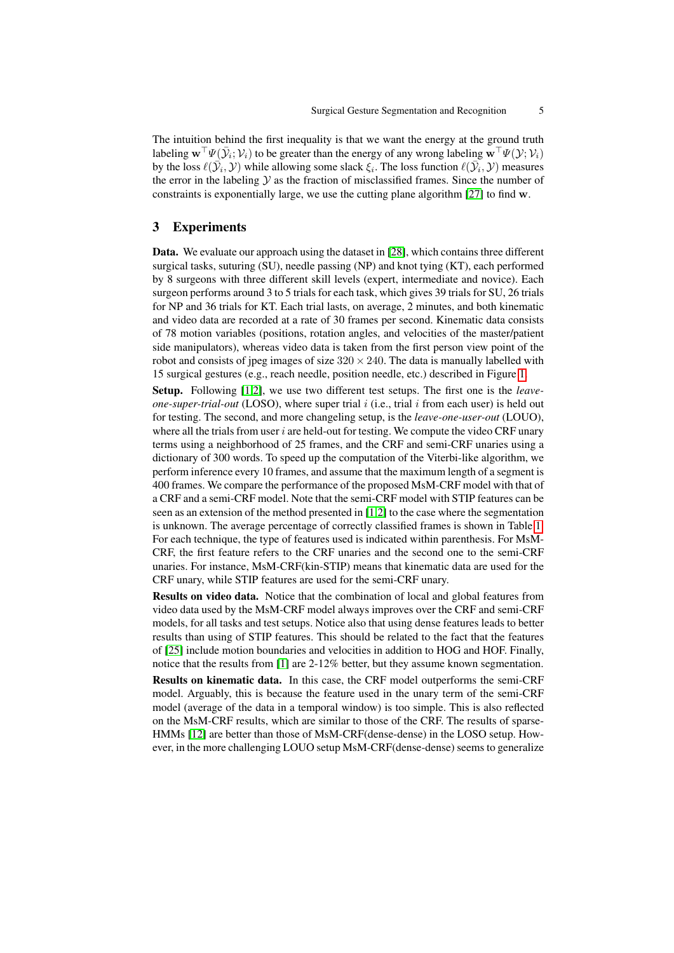The intuition behind the first inequality is that we want the energy at the ground truth labeling  $\mathbf{w}^\top \Psi(\bar{\mathcal{Y}}_i; \mathcal{V}_i)$  to be greater than the energy of any wrong labeling  $\mathbf{w}^\top \Psi(\mathcal{Y}; \mathcal{V}_i)$ by the loss  $\ell(\vec{\mathcal{Y}}_i, \mathcal{Y})$  while allowing some slack  $\xi_i$ . The loss function  $\ell(\vec{\mathcal{Y}}_i, \mathcal{Y})$  measures the error in the labeling  $Y$  as the fraction of misclassified frames. Since the number of constraints is exponentially large, we use the cutting plane algorithm [\[27\]](#page-7-19) to find w.

# 3 Experiments

Data. We evaluate our approach using the dataset in [\[28\]](#page-7-20), which contains three different surgical tasks, suturing (SU), needle passing (NP) and knot tying (KT), each performed by 8 surgeons with three different skill levels (expert, intermediate and novice). Each surgeon performs around 3 to 5 trials for each task, which gives 39 trials for SU, 26 trials for NP and 36 trials for KT. Each trial lasts, on average, 2 minutes, and both kinematic and video data are recorded at a rate of 30 frames per second. Kinematic data consists of 78 motion variables (positions, rotation angles, and velocities of the master/patient side manipulators), whereas video data is taken from the first person view point of the robot and consists of jpeg images of size  $320 \times 240$ . The data is manually labelled with 15 surgical gestures (e.g., reach needle, position needle, etc.) described in Figure [1.](#page-6-7)

Setup. Following [\[1,](#page-6-0)[2\]](#page-6-1), we use two different test setups. The first one is the *leaveone-super-trial-out* (LOSO), where super trial  $i$  (i.e., trial  $i$  from each user) is held out for testing. The second, and more changeling setup, is the *leave-one-user-out* (LOUO), where all the trials from user  $i$  are held-out for testing. We compute the video CRF unary terms using a neighborhood of 25 frames, and the CRF and semi-CRF unaries using a dictionary of 300 words. To speed up the computation of the Viterbi-like algorithm, we perform inference every 10 frames, and assume that the maximum length of a segment is 400 frames. We compare the performance of the proposed MsM-CRF model with that of a CRF and a semi-CRF model. Note that the semi-CRF model with STIP features can be seen as an extension of the method presented in [\[1,](#page-6-0)[2\]](#page-6-1) to the case where the segmentation is unknown. The average percentage of correctly classified frames is shown in Table [1.](#page-5-0) For each technique, the type of features used is indicated within parenthesis. For MsM-CRF, the first feature refers to the CRF unaries and the second one to the semi-CRF unaries. For instance, MsM-CRF(kin-STIP) means that kinematic data are used for the CRF unary, while STIP features are used for the semi-CRF unary.

Results on video data. Notice that the combination of local and global features from video data used by the MsM-CRF model always improves over the CRF and semi-CRF models, for all tasks and test setups. Notice also that using dense features leads to better results than using of STIP features. This should be related to the fact that the features of [\[25\]](#page-7-17) include motion boundaries and velocities in addition to HOG and HOF. Finally, notice that the results from [\[1\]](#page-6-0) are 2-12% better, but they assume known segmentation.

Results on kinematic data. In this case, the CRF model outperforms the semi-CRF model. Arguably, this is because the feature used in the unary term of the semi-CRF model (average of the data in a temporal window) is too simple. This is also reflected on the MsM-CRF results, which are similar to those of the CRF. The results of sparse-HMMs [\[12\]](#page-7-4) are better than those of MsM-CRF(dense-dense) in the LOSO setup. However, in the more challenging LOUO setup MsM-CRF(dense-dense) seems to generalize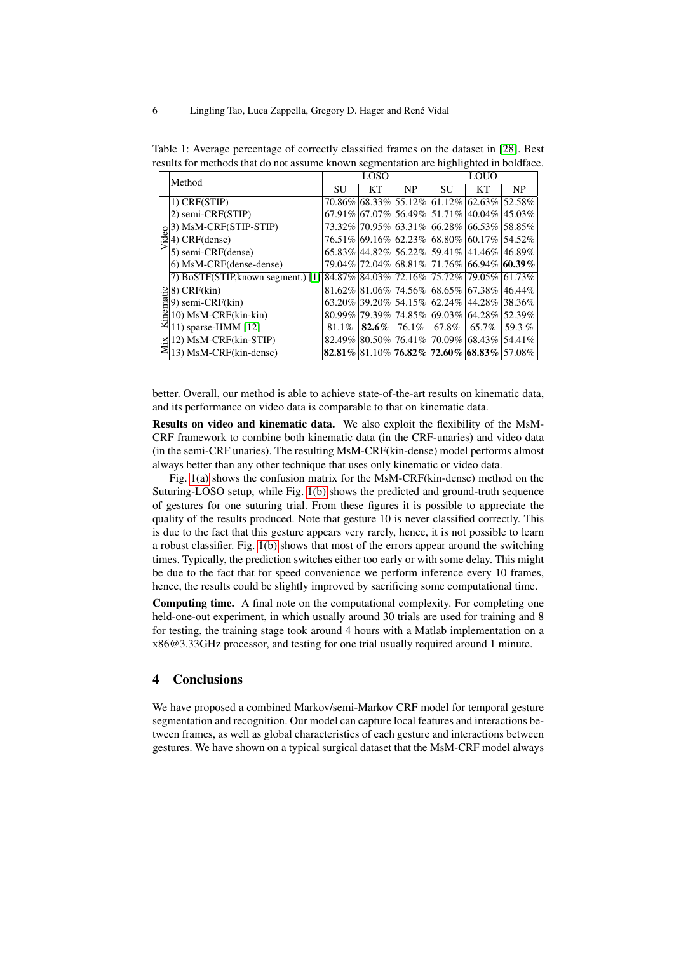|            | Method                                                        | <b>LOSO</b> |          |               | <b>LOUO</b> |                                                            |        |
|------------|---------------------------------------------------------------|-------------|----------|---------------|-------------|------------------------------------------------------------|--------|
|            |                                                               | <b>SU</b>   | KТ       | NP            | SU          | KТ                                                         | NP.    |
|            | $1)$ CRF(STIP)                                                |             |          |               |             | 70.86% 68.33% 55.12% 61.12% 62.63%                         | 52.58% |
|            | 2) semi-CRF(STIP)                                             |             |          |               |             | $67.91\%$ $67.07\%$ 56.49% 51.71% 40.04%                   | 45.03% |
|            | $Q(3)$ MsM-CRF(STIP-STIP)                                     |             |          |               |             | 73.32% 70.95% 63.31% 66.28% 66.53% 1                       | 58.85% |
|            | $\frac{3}{2}$ 4) CRF(dense)                                   |             |          |               |             | 76.51% 69.16% 62.23% 68.80% 60.17% 54.52%                  |        |
|            | 5) semi-CRF(dense)                                            |             |          |               |             | $65.83\%$  44.82\%   56.22\%   59.41\%   41.46\%   46.89\% |        |
|            | 6) MsM-CRF(dense-dense)                                       |             |          |               |             | 79.04% 72.04% 68.81% 71.76% 66.94% 60.39%                  |        |
|            | 7) BoSTF(STIP, known segment.) [1]                            |             |          |               |             | 84.87% 84.03% 72.16% 75.72% 79.05%                         | 61.73% |
| .er<br>.≍l | $\frac{12}{15}$ (8) CRF(kin)<br>$\frac{12}{15}$ (9) semi-CRF( |             |          |               |             | 81.62% 81.06% 74.56% 68.65% 67.38%                         | 46.44% |
|            | $9)$ semi-CRF(kin)                                            |             |          |               |             | $63.20\%$ 39.20% 54.15% 62.24% 44.28%                      | 38.36% |
|            | 10) MsM-CRF(kin-kin)                                          | 80.99%      |          | 79.39% 74.85% | 69.03%      | 64.28%                                                     | 52.39% |
|            | 11) sparse-HMM $[12]$                                         | 81.1%       | $82.6\%$ | 76.1%         | 67.8%       | 65.7%                                                      | 59.3%  |
|            | 12) MsM-CRF(kin-STIP)                                         |             |          |               |             | 82.49% 80.50% 76.41% 70.09% 68.43%                         | 54.41% |
|            | 13) MsM-CRF(kin-dense)                                        |             |          |               |             | $82.81\%$ 81.10% 76.82% 72.60% 68.83% 57.08%               |        |

<span id="page-5-0"></span>Table 1: Average percentage of correctly classified frames on the dataset in [\[28\]](#page-7-20). Best results for methods that do not assume known segmentation are highlighted in boldface.

better. Overall, our method is able to achieve state-of-the-art results on kinematic data, and its performance on video data is comparable to that on kinematic data.

Results on video and kinematic data. We also exploit the flexibility of the MsM-CRF framework to combine both kinematic data (in the CRF-unaries) and video data (in the semi-CRF unaries). The resulting MsM-CRF(kin-dense) model performs almost always better than any other technique that uses only kinematic or video data.

Fig. [1\(a\)](#page-6-8) shows the confusion matrix for the MsM-CRF(kin-dense) method on the Suturing-LOSO setup, while Fig. [1\(b\)](#page-6-9) shows the predicted and ground-truth sequence of gestures for one suturing trial. From these figures it is possible to appreciate the quality of the results produced. Note that gesture 10 is never classified correctly. This is due to the fact that this gesture appears very rarely, hence, it is not possible to learn a robust classifier. Fig. [1\(b\)](#page-6-9) shows that most of the errors appear around the switching times. Typically, the prediction switches either too early or with some delay. This might be due to the fact that for speed convenience we perform inference every 10 frames, hence, the results could be slightly improved by sacrificing some computational time.

Computing time. A final note on the computational complexity. For completing one held-one-out experiment, in which usually around 30 trials are used for training and 8 for testing, the training stage took around 4 hours with a Matlab implementation on a x86@3.33GHz processor, and testing for one trial usually required around 1 minute.

## 4 Conclusions

We have proposed a combined Markov/semi-Markov CRF model for temporal gesture segmentation and recognition. Our model can capture local features and interactions between frames, as well as global characteristics of each gesture and interactions between gestures. We have shown on a typical surgical dataset that the MsM-CRF model always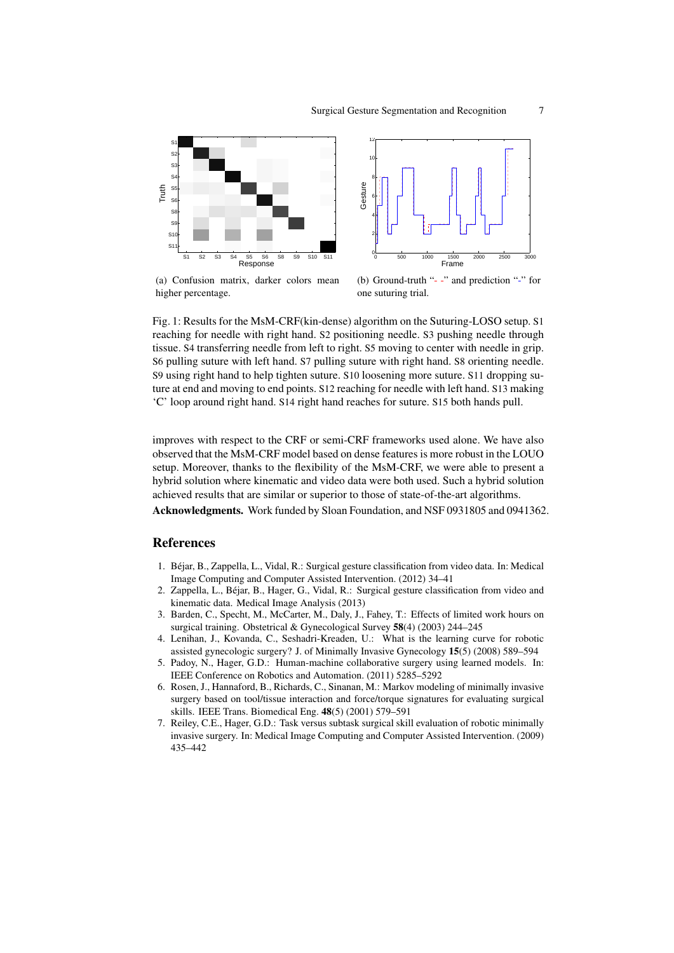<span id="page-6-8"></span><span id="page-6-7"></span>



(a) Confusion matrix, darker colors mean higher percentage.

<span id="page-6-9"></span>(b) Ground-truth "- -" and prediction "-" for one suturing trial.

Fig. 1: Results for the MsM-CRF(kin-dense) algorithm on the Suturing-LOSO setup. S1 reaching for needle with right hand. S2 positioning needle. S3 pushing needle through tissue. S4 transferring needle from left to right. S5 moving to center with needle in grip. S6 pulling suture with left hand. S7 pulling suture with right hand. S8 orienting needle. S9 using right hand to help tighten suture. S10 loosening more suture. S11 dropping suture at end and moving to end points. S12 reaching for needle with left hand. S13 making 'C' loop around right hand. S14 right hand reaches for suture. S15 both hands pull.

improves with respect to the CRF or semi-CRF frameworks used alone. We have also observed that the MsM-CRF model based on dense features is more robust in the LOUO setup. Moreover, thanks to the flexibility of the MsM-CRF, we were able to present a hybrid solution where kinematic and video data were both used. Such a hybrid solution achieved results that are similar or superior to those of state-of-the-art algorithms.

Acknowledgments. Work funded by Sloan Foundation, and NSF 0931805 and 0941362.

# References

- <span id="page-6-0"></span>1. Bejar, B., Zappella, L., Vidal, R.: Surgical gesture classification from video data. In: Medical ´ Image Computing and Computer Assisted Intervention. (2012) 34–41
- <span id="page-6-1"></span>2. Zappella, L., Bejar, B., Hager, G., Vidal, R.: Surgical gesture classification from video and ´ kinematic data. Medical Image Analysis (2013)
- <span id="page-6-2"></span>3. Barden, C., Specht, M., McCarter, M., Daly, J., Fahey, T.: Effects of limited work hours on surgical training. Obstetrical & Gynecological Survey 58(4) (2003) 244–245
- <span id="page-6-3"></span>4. Lenihan, J., Kovanda, C., Seshadri-Kreaden, U.: What is the learning curve for robotic assisted gynecologic surgery? J. of Minimally Invasive Gynecology 15(5) (2008) 589–594
- <span id="page-6-4"></span>5. Padoy, N., Hager, G.D.: Human-machine collaborative surgery using learned models. In: IEEE Conference on Robotics and Automation. (2011) 5285–5292
- <span id="page-6-5"></span>6. Rosen, J., Hannaford, B., Richards, C., Sinanan, M.: Markov modeling of minimally invasive surgery based on tool/tissue interaction and force/torque signatures for evaluating surgical skills. IEEE Trans. Biomedical Eng. 48(5) (2001) 579–591
- <span id="page-6-6"></span>7. Reiley, C.E., Hager, G.D.: Task versus subtask surgical skill evaluation of robotic minimally invasive surgery. In: Medical Image Computing and Computer Assisted Intervention. (2009) 435–442